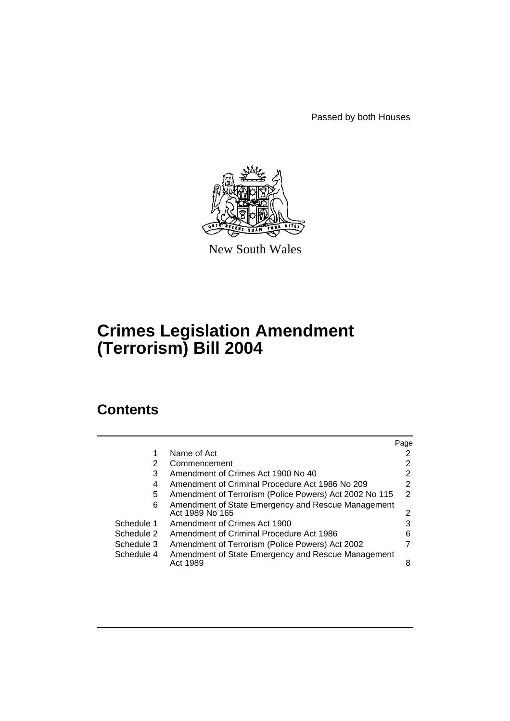Passed by both Houses



New South Wales

# **Crimes Legislation Amendment (Terrorism) Bill 2004**

# **Contents**

|            |                                                                       | Page |
|------------|-----------------------------------------------------------------------|------|
|            | Name of Act                                                           | 2    |
| 2          | Commencement                                                          | 2    |
| 3          | Amendment of Crimes Act 1900 No 40                                    | 2    |
| 4          | Amendment of Criminal Procedure Act 1986 No 209                       | 2    |
| 5          | Amendment of Terrorism (Police Powers) Act 2002 No 115                | 2    |
| 6          | Amendment of State Emergency and Rescue Management<br>Act 1989 No 165 | 2    |
| Schedule 1 | Amendment of Crimes Act 1900                                          | 3    |
| Schedule 2 | Amendment of Criminal Procedure Act 1986                              | 6    |
| Schedule 3 | Amendment of Terrorism (Police Powers) Act 2002                       | 7    |
| Schedule 4 | Amendment of State Emergency and Rescue Management<br>Act 1989        | 8    |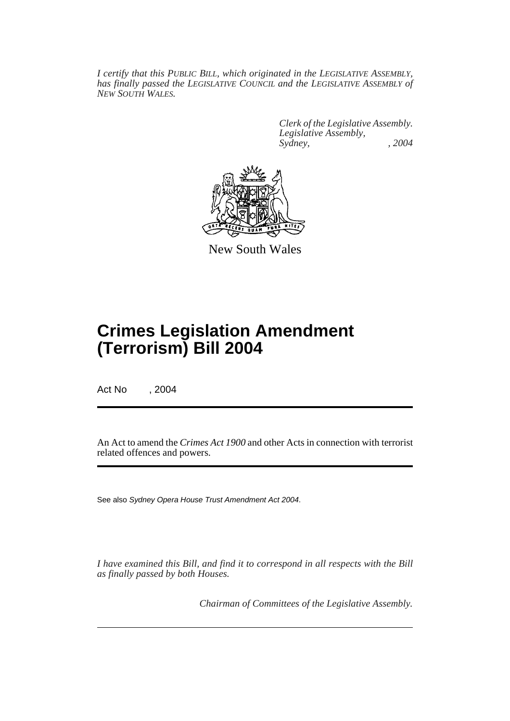*I certify that this PUBLIC BILL, which originated in the LEGISLATIVE ASSEMBLY, has finally passed the LEGISLATIVE COUNCIL and the LEGISLATIVE ASSEMBLY of NEW SOUTH WALES.*

> *Clerk of the Legislative Assembly. Legislative Assembly, Sydney, , 2004*



New South Wales

# **Crimes Legislation Amendment (Terrorism) Bill 2004**

Act No , 2004

An Act to amend the *Crimes Act 1900* and other Acts in connection with terrorist related offences and powers.

See also *Sydney Opera House Trust Amendment Act 2004*.

*I have examined this Bill, and find it to correspond in all respects with the Bill as finally passed by both Houses.*

*Chairman of Committees of the Legislative Assembly.*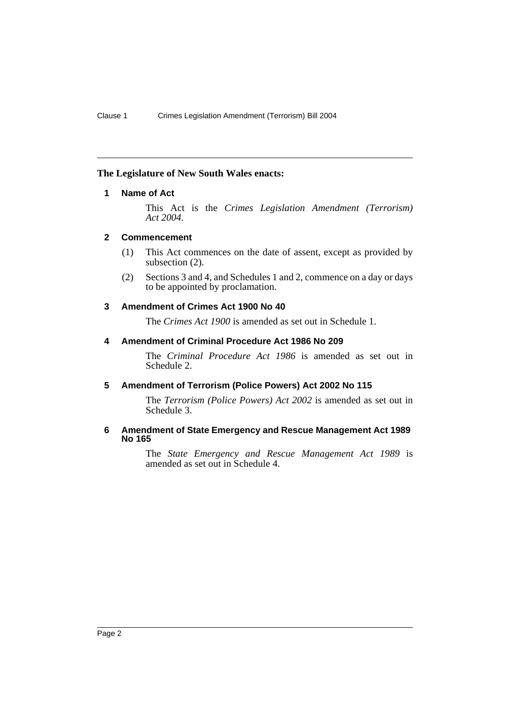# **The Legislature of New South Wales enacts:**

# **1 Name of Act**

This Act is the *Crimes Legislation Amendment (Terrorism) Act 2004*.

# **2 Commencement**

- (1) This Act commences on the date of assent, except as provided by subsection (2).
- (2) Sections 3 and 4, and Schedules 1 and 2, commence on a day or days to be appointed by proclamation.

# **3 Amendment of Crimes Act 1900 No 40**

The *Crimes Act 1900* is amended as set out in Schedule 1.

# **4 Amendment of Criminal Procedure Act 1986 No 209**

The *Criminal Procedure Act 1986* is amended as set out in Schedule 2.

# **5 Amendment of Terrorism (Police Powers) Act 2002 No 115**

The *Terrorism (Police Powers) Act 2002* is amended as set out in Schedule 3.

# **6 Amendment of State Emergency and Rescue Management Act 1989 No 165**

The *State Emergency and Rescue Management Act 1989* is amended as set out in Schedule 4.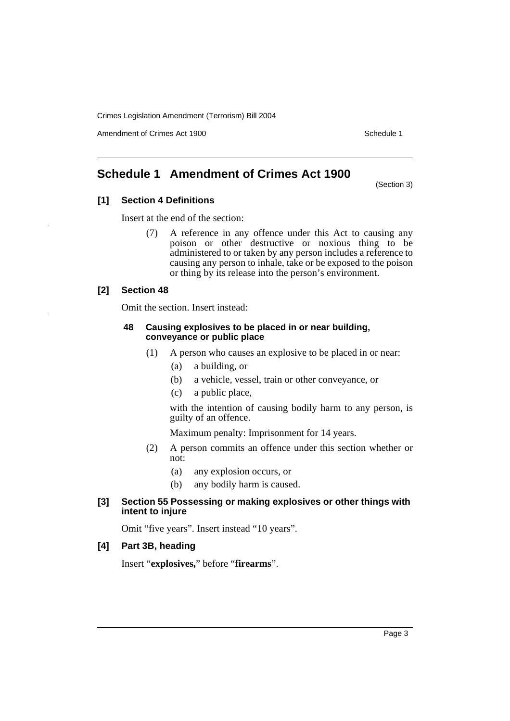Amendment of Crimes Act 1900 New York 1900 Network 1900 Schedule 1

# **Schedule 1 Amendment of Crimes Act 1900**

(Section 3)

# **[1] Section 4 Definitions**

Insert at the end of the section:

(7) A reference in any offence under this Act to causing any poison or other destructive or noxious thing to be administered to or taken by any person includes a reference to causing any person to inhale, take or be exposed to the poison or thing by its release into the person's environment.

# **[2] Section 48**

Omit the section. Insert instead:

# **48 Causing explosives to be placed in or near building, conveyance or public place**

- (1) A person who causes an explosive to be placed in or near:
	- (a) a building, or
	- (b) a vehicle, vessel, train or other conveyance, or
	- (c) a public place,

with the intention of causing bodily harm to any person, is guilty of an offence.

Maximum penalty: Imprisonment for 14 years.

- (2) A person commits an offence under this section whether or not:
	- (a) any explosion occurs, or
	- (b) any bodily harm is caused.

# **[3] Section 55 Possessing or making explosives or other things with intent to injure**

Omit "five years". Insert instead "10 years".

# **[4] Part 3B, heading**

Insert "**explosives,**" before "**firearms**".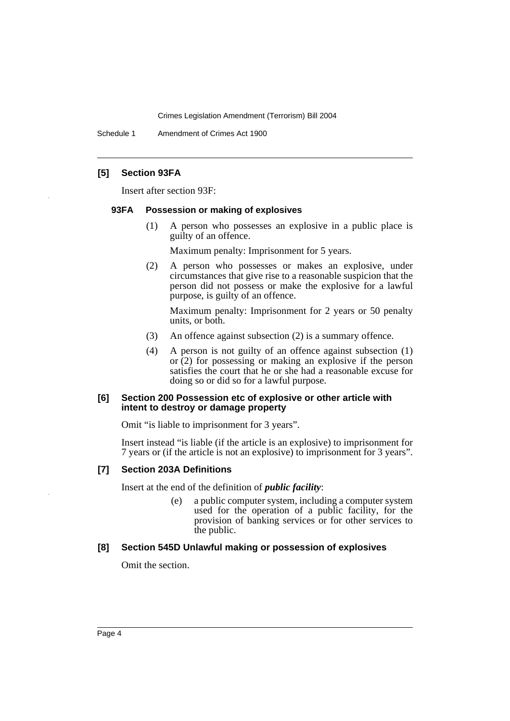Schedule 1 Amendment of Crimes Act 1900

# **[5] Section 93FA**

Insert after section 93F:

#### **93FA Possession or making of explosives**

(1) A person who possesses an explosive in a public place is guilty of an offence.

Maximum penalty: Imprisonment for 5 years.

(2) A person who possesses or makes an explosive, under circumstances that give rise to a reasonable suspicion that the person did not possess or make the explosive for a lawful purpose, is guilty of an offence.

Maximum penalty: Imprisonment for 2 years or 50 penalty units, or both.

- (3) An offence against subsection (2) is a summary offence.
- (4) A person is not guilty of an offence against subsection (1) or (2) for possessing or making an explosive if the person satisfies the court that he or she had a reasonable excuse for doing so or did so for a lawful purpose.

#### **[6] Section 200 Possession etc of explosive or other article with intent to destroy or damage property**

Omit "is liable to imprisonment for 3 years".

Insert instead "is liable (if the article is an explosive) to imprisonment for 7 years or (if the article is not an explosive) to imprisonment for 3 years".

# **[7] Section 203A Definitions**

Insert at the end of the definition of *public facility*:

(e) a public computer system, including a computer system used for the operation of a public facility, for the provision of banking services or for other services to the public.

#### **[8] Section 545D Unlawful making or possession of explosives**

Omit the section.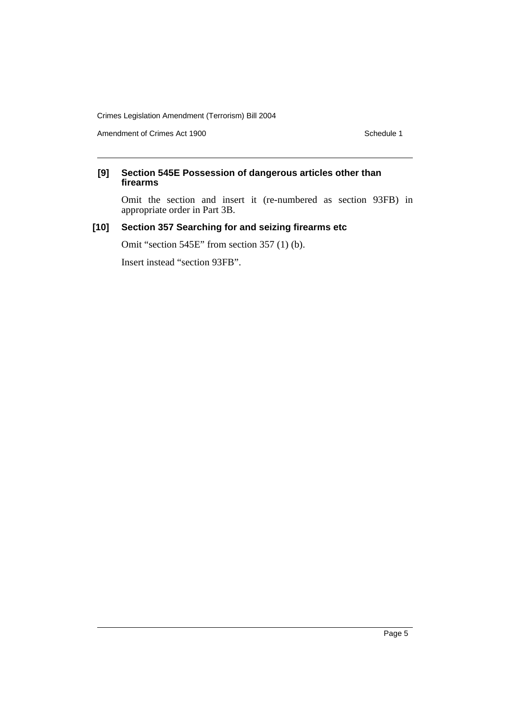Amendment of Crimes Act 1900 Schedule 1

# **[9] Section 545E Possession of dangerous articles other than firearms**

Omit the section and insert it (re-numbered as section 93FB) in appropriate order in Part 3B.

# **[10] Section 357 Searching for and seizing firearms etc**

Omit "section 545E" from section 357 (1) (b).

Insert instead "section 93FB".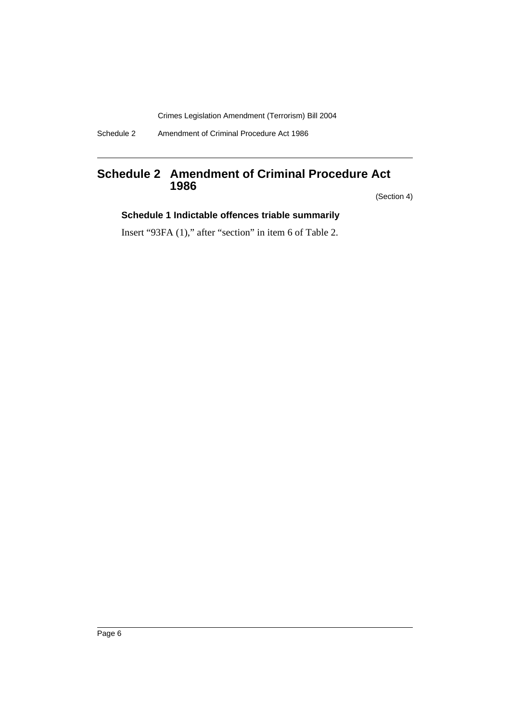Schedule 2 Amendment of Criminal Procedure Act 1986

# **Schedule 2 Amendment of Criminal Procedure Act 1986**

(Section 4)

# **Schedule 1 Indictable offences triable summarily**

Insert "93FA (1)," after "section" in item 6 of Table 2.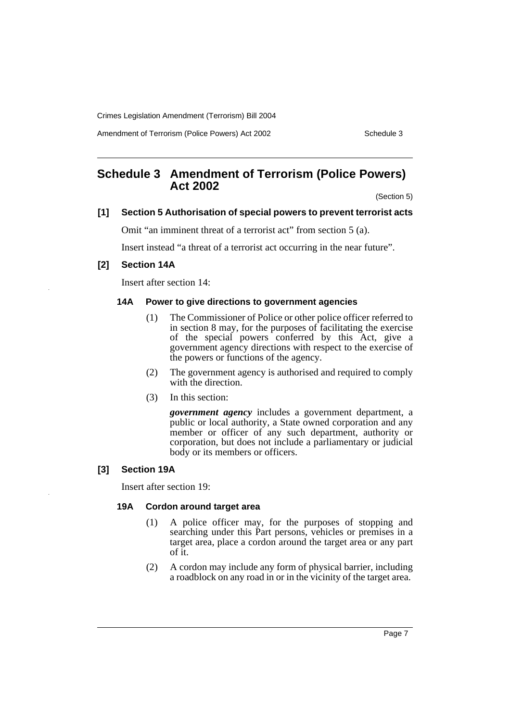Amendment of Terrorism (Police Powers) Act 2002 Schedule 3

# **Schedule 3 Amendment of Terrorism (Police Powers) Act 2002**

(Section 5)

## **[1] Section 5 Authorisation of special powers to prevent terrorist acts**

Omit "an imminent threat of a terrorist act" from section 5 (a).

Insert instead "a threat of a terrorist act occurring in the near future".

# **[2] Section 14A**

Insert after section 14:

# **14A Power to give directions to government agencies**

- (1) The Commissioner of Police or other police officer referred to in section 8 may, for the purposes of facilitating the exercise of the special powers conferred by this Act, give a government agency directions with respect to the exercise of the powers or functions of the agency.
- (2) The government agency is authorised and required to comply with the direction.
- (3) In this section:

*government agency* includes a government department, a public or local authority, a State owned corporation and any member or officer of any such department, authority or corporation, but does not include a parliamentary or judicial body or its members or officers.

# **[3] Section 19A**

Insert after section 19:

#### **19A Cordon around target area**

- (1) A police officer may, for the purposes of stopping and searching under this Part persons, vehicles or premises in a target area, place a cordon around the target area or any part of it.
- (2) A cordon may include any form of physical barrier, including a roadblock on any road in or in the vicinity of the target area.